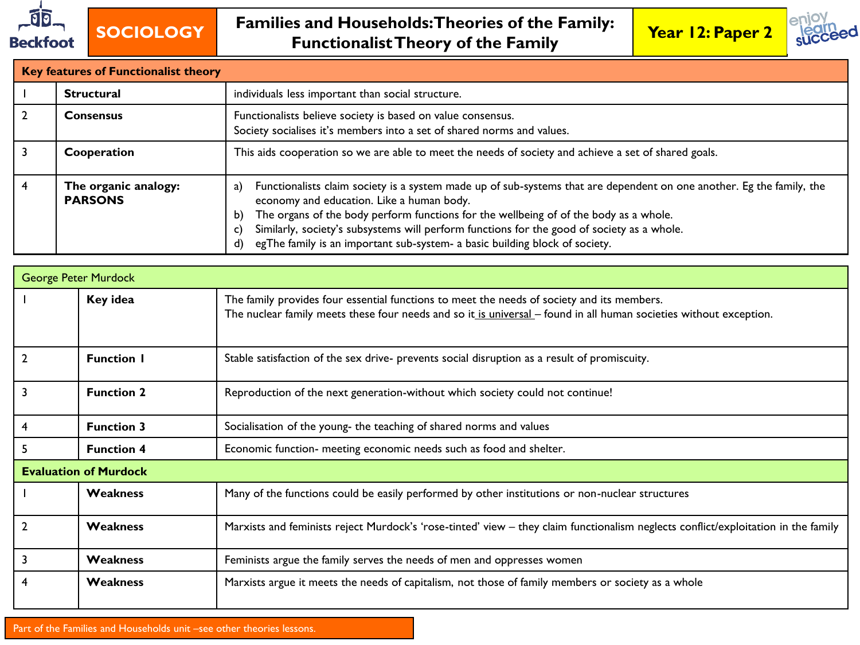



| <b>Key features of Functionalist theory</b> |                                                                                                                                                                                                                                                                                                                                                                                                                                                                  |  |  |  |  |  |
|---------------------------------------------|------------------------------------------------------------------------------------------------------------------------------------------------------------------------------------------------------------------------------------------------------------------------------------------------------------------------------------------------------------------------------------------------------------------------------------------------------------------|--|--|--|--|--|
| <b>Structural</b>                           | individuals less important than social structure.                                                                                                                                                                                                                                                                                                                                                                                                                |  |  |  |  |  |
| <b>Consensus</b>                            | Functionalists believe society is based on value consensus.<br>Society socialises it's members into a set of shared norms and values.                                                                                                                                                                                                                                                                                                                            |  |  |  |  |  |
| Cooperation                                 | This aids cooperation so we are able to meet the needs of society and achieve a set of shared goals.                                                                                                                                                                                                                                                                                                                                                             |  |  |  |  |  |
| The organic analogy:<br><b>PARSONS</b>      | Functionalists claim society is a system made up of sub-systems that are dependent on one another. Eg the family, the<br>a)<br>economy and education. Like a human body.<br>The organs of the body perform functions for the wellbeing of of the body as a whole.<br>b)<br>Similarly, society's subsystems will perform functions for the good of society as a whole.<br>C)<br>egThe family is an important sub-system- a basic building block of society.<br>d) |  |  |  |  |  |

|                              | <b>George Peter Murdock</b>                                                               |                                                                                                                                                                                                                  |  |  |  |  |
|------------------------------|-------------------------------------------------------------------------------------------|------------------------------------------------------------------------------------------------------------------------------------------------------------------------------------------------------------------|--|--|--|--|
| Key idea                     |                                                                                           | The family provides four essential functions to meet the needs of society and its members.<br>The nuclear family meets these four needs and so it is universal - found in all human societies without exception. |  |  |  |  |
|                              | <b>Function I</b>                                                                         | Stable satisfaction of the sex drive- prevents social disruption as a result of promiscuity.                                                                                                                     |  |  |  |  |
|                              | <b>Function 2</b>                                                                         | Reproduction of the next generation-without which society could not continue!                                                                                                                                    |  |  |  |  |
| 4                            | <b>Function 3</b>                                                                         | Socialisation of the young- the teaching of shared norms and values                                                                                                                                              |  |  |  |  |
|                              | <b>Function 4</b>                                                                         | Economic function- meeting economic needs such as food and shelter.                                                                                                                                              |  |  |  |  |
| <b>Evaluation of Murdock</b> |                                                                                           |                                                                                                                                                                                                                  |  |  |  |  |
|                              | <b>Weakness</b>                                                                           | Many of the functions could be easily performed by other institutions or non-nuclear structures                                                                                                                  |  |  |  |  |
|                              | <b>Weakness</b>                                                                           | Marxists and feminists reject Murdock's 'rose-tinted' view - they claim functionalism neglects conflict/exploitation in the family                                                                               |  |  |  |  |
| 3                            | <b>Weakness</b><br>Feminists argue the family serves the needs of men and oppresses women |                                                                                                                                                                                                                  |  |  |  |  |
|                              | <b>Weakness</b>                                                                           | Marxists argue it meets the needs of capitalism, not those of family members or society as a whole                                                                                                               |  |  |  |  |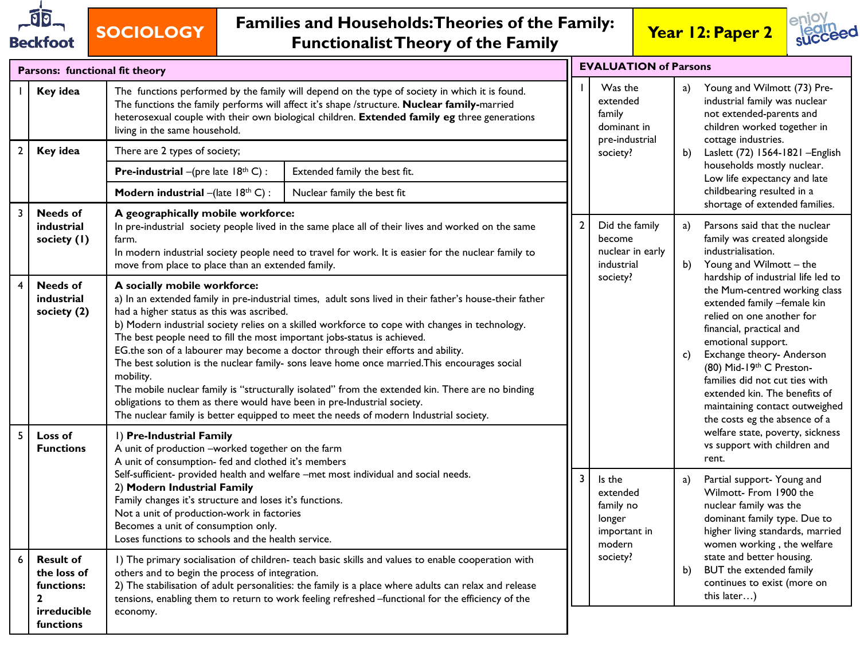

# **SOCIOLOGY Families and Households: Theories of the Family: Functionalist Theory of the Family Year 12: Paper 2**



|                | Parsons: functional fit theory                                                            |                                                                                                                                                                                                                                                                                                                                |                                                                                                                                                                                                                                                                                                                                                                                                                                                                                                                                                                                                                                                                                                                                                   | <b>EVALUATION of Parsons</b>                 |                                                                                 |                                                                                                                         |                                                                                                                                                                                                                                                                                                                                                                                                                                                                                                                                                                                                                                                                                                                                                                                                                                                                                                             |
|----------------|-------------------------------------------------------------------------------------------|--------------------------------------------------------------------------------------------------------------------------------------------------------------------------------------------------------------------------------------------------------------------------------------------------------------------------------|---------------------------------------------------------------------------------------------------------------------------------------------------------------------------------------------------------------------------------------------------------------------------------------------------------------------------------------------------------------------------------------------------------------------------------------------------------------------------------------------------------------------------------------------------------------------------------------------------------------------------------------------------------------------------------------------------------------------------------------------------|----------------------------------------------|---------------------------------------------------------------------------------|-------------------------------------------------------------------------------------------------------------------------|-------------------------------------------------------------------------------------------------------------------------------------------------------------------------------------------------------------------------------------------------------------------------------------------------------------------------------------------------------------------------------------------------------------------------------------------------------------------------------------------------------------------------------------------------------------------------------------------------------------------------------------------------------------------------------------------------------------------------------------------------------------------------------------------------------------------------------------------------------------------------------------------------------------|
|                | Key idea                                                                                  | The functions performed by the family will depend on the type of society in which it is found.<br>The functions the family performs will affect it's shape /structure. Nuclear family-married<br>heterosexual couple with their own biological children. Extended family eg three generations<br>living in the same household. |                                                                                                                                                                                                                                                                                                                                                                                                                                                                                                                                                                                                                                                                                                                                                   | Was the<br>extended<br>family<br>dominant in | a)                                                                              | Young and Wilmott (73) Pre-<br>industrial family was nuclear<br>not extended-parents and<br>children worked together in |                                                                                                                                                                                                                                                                                                                                                                                                                                                                                                                                                                                                                                                                                                                                                                                                                                                                                                             |
| $\overline{2}$ | Key idea                                                                                  | There are 2 types of society;                                                                                                                                                                                                                                                                                                  |                                                                                                                                                                                                                                                                                                                                                                                                                                                                                                                                                                                                                                                                                                                                                   |                                              | pre-industrial<br>society?                                                      | b)                                                                                                                      | cottage industries.<br>Laslett (72) 1564-1821 - English                                                                                                                                                                                                                                                                                                                                                                                                                                                                                                                                                                                                                                                                                                                                                                                                                                                     |
|                |                                                                                           | <b>Pre-industrial</b> $-(\text{pre late } 18^{\text{th}} C)$ :                                                                                                                                                                                                                                                                 | Extended family the best fit.                                                                                                                                                                                                                                                                                                                                                                                                                                                                                                                                                                                                                                                                                                                     |                                              |                                                                                 |                                                                                                                         | households mostly nuclear.<br>Low life expectancy and late                                                                                                                                                                                                                                                                                                                                                                                                                                                                                                                                                                                                                                                                                                                                                                                                                                                  |
|                |                                                                                           | Modern industrial $-(\text{late } 18^{\text{th}} C)$ :                                                                                                                                                                                                                                                                         | Nuclear family the best fit                                                                                                                                                                                                                                                                                                                                                                                                                                                                                                                                                                                                                                                                                                                       |                                              |                                                                                 |                                                                                                                         | childbearing resulted in a                                                                                                                                                                                                                                                                                                                                                                                                                                                                                                                                                                                                                                                                                                                                                                                                                                                                                  |
| $\overline{3}$ | <b>Needs of</b><br>industrial<br>society (1)                                              | farm.<br>move from place to place than an extended family.                                                                                                                                                                                                                                                                     | A geographically mobile workforce:<br>In pre-industrial society people lived in the same place all of their lives and worked on the same<br>In modern industrial society people need to travel for work. It is easier for the nuclear family to                                                                                                                                                                                                                                                                                                                                                                                                                                                                                                   |                                              | Did the family<br>become<br>nuclear in early<br>industrial<br>society?          | a)<br>b)                                                                                                                | shortage of extended families.<br>Parsons said that the nuclear<br>family was created alongside<br>industrialisation.<br>Young and Wilmott - the<br>hardship of industrial life led to<br>the Mum-centred working class<br>extended family -female kin<br>relied on one another for<br>financial, practical and<br>emotional support.<br>Exchange theory- Anderson<br>(80) Mid-19th C Preston-<br>families did not cut ties with<br>extended kin. The benefits of<br>maintaining contact outweighed<br>the costs eg the absence of a<br>welfare state, poverty, sickness<br>vs support with children and<br>rent.<br>Partial support- Young and<br>Wilmott- From 1900 the<br>nuclear family was the<br>dominant family type. Due to<br>higher living standards, married<br>women working, the welfare<br>state and better housing.<br>BUT the extended family<br>continues to exist (more on<br>this later) |
| $\overline{4}$ | <b>Needs of</b><br>industrial<br>society (2)                                              | A socially mobile workforce:<br>had a higher status as this was ascribed.<br>mobility.                                                                                                                                                                                                                                         | a) In an extended family in pre-industrial times, adult sons lived in their father's house-their father<br>b) Modern industrial society relies on a skilled workforce to cope with changes in technology.<br>The best people need to fill the most important jobs-status is achieved.<br>EG.the son of a labourer may become a doctor through their efforts and ability.<br>The best solution is the nuclear family- sons leave home once married. This encourages social<br>The mobile nuclear family is "structurally isolated" from the extended kin. There are no binding<br>obligations to them as there would have been in pre-Industrial society.<br>The nuclear family is better equipped to meet the needs of modern Industrial society. |                                              |                                                                                 | $\mathsf{c})$                                                                                                           |                                                                                                                                                                                                                                                                                                                                                                                                                                                                                                                                                                                                                                                                                                                                                                                                                                                                                                             |
| $\overline{5}$ | Loss of<br><b>Functions</b>                                                               | I) Pre-Industrial Family<br>A unit of production -worked together on the farm<br>A unit of consumption- fed and clothed it's members                                                                                                                                                                                           | Self-sufficient- provided health and welfare -met most individual and social needs.<br>I) The primary socialisation of children- teach basic skills and values to enable cooperation with<br>2) The stabilisation of adult personalities: the family is a place where adults can relax and release<br>tensions, enabling them to return to work feeling refreshed -functional for the efficiency of the                                                                                                                                                                                                                                                                                                                                           |                                              |                                                                                 |                                                                                                                         |                                                                                                                                                                                                                                                                                                                                                                                                                                                                                                                                                                                                                                                                                                                                                                                                                                                                                                             |
|                |                                                                                           | 2) Modern Industrial Family<br>Family changes it's structure and loses it's functions.<br>Not a unit of production-work in factories<br>Becomes a unit of consumption only.<br>Loses functions to schools and the health service.                                                                                              |                                                                                                                                                                                                                                                                                                                                                                                                                                                                                                                                                                                                                                                                                                                                                   |                                              | Is the<br>extended<br>family no<br>longer<br>important in<br>modern<br>society? | a)                                                                                                                      |                                                                                                                                                                                                                                                                                                                                                                                                                                                                                                                                                                                                                                                                                                                                                                                                                                                                                                             |
| 6              | <b>Result of</b><br>the loss of<br>functions:<br>$\mathbf{2}$<br>irreducible<br>functions | others and to begin the process of integration.<br>economy.                                                                                                                                                                                                                                                                    |                                                                                                                                                                                                                                                                                                                                                                                                                                                                                                                                                                                                                                                                                                                                                   |                                              |                                                                                 | b)                                                                                                                      |                                                                                                                                                                                                                                                                                                                                                                                                                                                                                                                                                                                                                                                                                                                                                                                                                                                                                                             |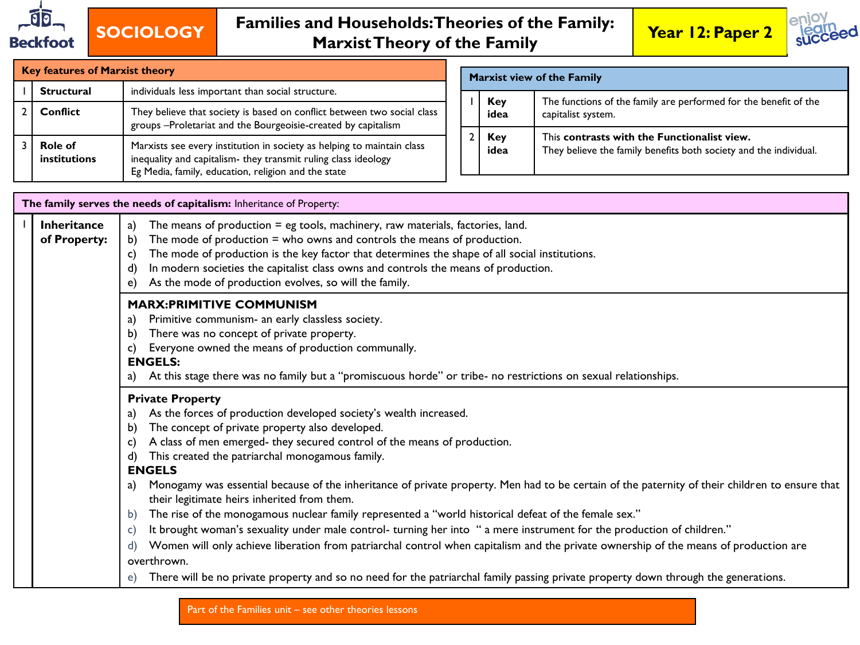



| <b>Key features of Marxist theory</b>                               |                                                                                                                                                                                                 |  |  | <b>Marxist view of the Family</b> |                                                                                                                  |  |  |
|---------------------------------------------------------------------|-------------------------------------------------------------------------------------------------------------------------------------------------------------------------------------------------|--|--|-----------------------------------|------------------------------------------------------------------------------------------------------------------|--|--|
| Structural                                                          | individuals less important than social structure.                                                                                                                                               |  |  |                                   |                                                                                                                  |  |  |
| Conflict                                                            | They believe that society is based on conflict between two social class<br>groups -Proletariat and the Bourgeoisie-created by capitalism                                                        |  |  | Key<br>idea                       | The functions of the family are performed for the benefit of the<br>capitalist system.                           |  |  |
| <b>Role of</b><br>institutions                                      | Marxists see every institution in society as helping to maintain class<br>inequality and capitalism- they transmit ruling class ideology<br>Eg Media, family, education, religion and the state |  |  | Key<br>idea                       | This contrasts with the Functionalist view.<br>They believe the family benefits both society and the individual. |  |  |
| The family serves the needs of capitalism: Inheritance of Property: |                                                                                                                                                                                                 |  |  |                                   |                                                                                                                  |  |  |

|                                    | The family serves the needs of capitalism: Inheritance of Property:                                                                                                                                                                                                                                                                                                                                                                                                                                                                                                                                                                                                                                                                                                                                                                                                                                                                                                                                                                                                                      |
|------------------------------------|------------------------------------------------------------------------------------------------------------------------------------------------------------------------------------------------------------------------------------------------------------------------------------------------------------------------------------------------------------------------------------------------------------------------------------------------------------------------------------------------------------------------------------------------------------------------------------------------------------------------------------------------------------------------------------------------------------------------------------------------------------------------------------------------------------------------------------------------------------------------------------------------------------------------------------------------------------------------------------------------------------------------------------------------------------------------------------------|
| <b>Inheritance</b><br>of Property: | The means of production $=$ eg tools, machinery, raw materials, factories, land.<br>The mode of production $=$ who owns and controls the means of production.<br>b)<br>The mode of production is the key factor that determines the shape of all social institutions.<br>C)<br>In modern societies the capitalist class owns and controls the means of production.<br>d)<br>As the mode of production evolves, so will the family.<br>e)                                                                                                                                                                                                                                                                                                                                                                                                                                                                                                                                                                                                                                                 |
|                                    | <b>MARX:PRIMITIVE COMMUNISM</b><br>Primitive communism- an early classless society.<br>a)<br>There was no concept of private property.<br>b)<br>Everyone owned the means of production communally.<br>c)<br><b>ENGELS:</b><br>At this stage there was no family but a "promiscuous horde" or tribe- no restrictions on sexual relationships.<br>a)                                                                                                                                                                                                                                                                                                                                                                                                                                                                                                                                                                                                                                                                                                                                       |
|                                    | <b>Private Property</b><br>As the forces of production developed society's wealth increased.<br>a)<br>The concept of private property also developed.<br>b)<br>A class of men emerged- they secured control of the means of production.<br>C)<br>This created the patriarchal monogamous family.<br>d)<br><b>ENGELS</b><br>Monogamy was essential because of the inheritance of private property. Men had to be certain of the paternity of their children to ensure that<br>a)<br>their legitimate heirs inherited from them.<br>The rise of the monogamous nuclear family represented a "world historical defeat of the female sex."<br>b)<br>It brought woman's sexuality under male control-turning her into " a mere instrument for the production of children."<br>C)<br>Women will only achieve liberation from patriarchal control when capitalism and the private ownership of the means of production are<br>$\mathsf{d}$<br>overthrown.<br>There will be no private property and so no need for the patriarchal family passing private property down through the generations. |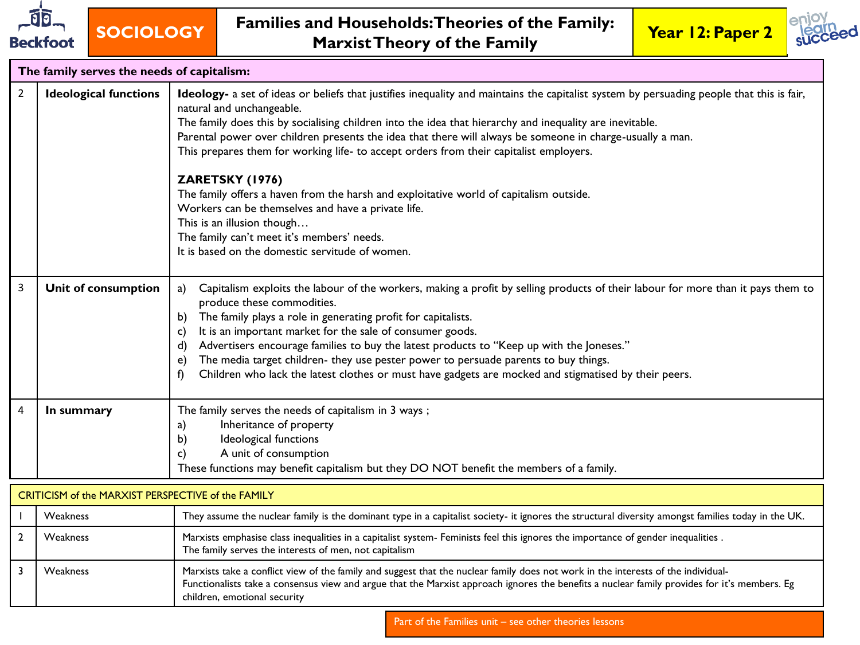



|                | The family serves the needs of capitalism:                         |                                                                                                                                                                                                                                                                                                                                                                                                                                                                                                                                                                                                                                                                                                                                                                                             |
|----------------|--------------------------------------------------------------------|---------------------------------------------------------------------------------------------------------------------------------------------------------------------------------------------------------------------------------------------------------------------------------------------------------------------------------------------------------------------------------------------------------------------------------------------------------------------------------------------------------------------------------------------------------------------------------------------------------------------------------------------------------------------------------------------------------------------------------------------------------------------------------------------|
| $\overline{2}$ | <b>Ideological functions</b>                                       | Ideology- a set of ideas or beliefs that justifies inequality and maintains the capitalist system by persuading people that this is fair,<br>natural and unchangeable.<br>The family does this by socialising children into the idea that hierarchy and inequality are inevitable.<br>Parental power over children presents the idea that there will always be someone in charge-usually a man.<br>This prepares them for working life- to accept orders from their capitalist employers.<br>ZARETSKY (1976)<br>The family offers a haven from the harsh and exploitative world of capitalism outside.<br>Workers can be themselves and have a private life.<br>This is an illusion though<br>The family can't meet it's members' needs.<br>It is based on the domestic servitude of women. |
| 3              | Unit of consumption                                                | Capitalism exploits the labour of the workers, making a profit by selling products of their labour for more than it pays them to<br>a)<br>produce these commodities.<br>The family plays a role in generating profit for capitalists.<br>b)<br>It is an important market for the sale of consumer goods.<br>C)<br>Advertisers encourage families to buy the latest products to "Keep up with the Joneses."<br>d)<br>The media target children- they use pester power to persuade parents to buy things.<br>e)<br>Children who lack the latest clothes or must have gadgets are mocked and stigmatised by their peers.<br>Ð                                                                                                                                                                  |
| $\overline{4}$ | In summary<br>$CDITICICM$ of the MADVICT DEDCDECTIVE of the EAMILY | The family serves the needs of capitalism in 3 ways;<br>Inheritance of property<br>a)<br>Ideological functions<br>b)<br>A unit of consumption<br>c)<br>These functions may benefit capitalism but they DO NOT benefit the members of a family.                                                                                                                                                                                                                                                                                                                                                                                                                                                                                                                                              |

| CRITICISM of the MARXIST PERSPECTIVE of the FAMILY |                                                                                                                                                                                                                                                                                                                   |  |  |  |  |
|----------------------------------------------------|-------------------------------------------------------------------------------------------------------------------------------------------------------------------------------------------------------------------------------------------------------------------------------------------------------------------|--|--|--|--|
| Weakness                                           | They assume the nuclear family is the dominant type in a capitalist society- it ignores the structural diversity amongst families today in the UK.                                                                                                                                                                |  |  |  |  |
| <b>Weakness</b>                                    | Marxists emphasise class inequalities in a capitalist system- Feminists feel this ignores the importance of gender inequalities.<br>The family serves the interests of men, not capitalism                                                                                                                        |  |  |  |  |
| <b>Weakness</b>                                    | Marxists take a conflict view of the family and suggest that the nuclear family does not work in the interests of the individual-<br>Functionalists take a consensus view and argue that the Marxist approach ignores the benefits a nuclear family provides for it's members. Eg<br>children, emotional security |  |  |  |  |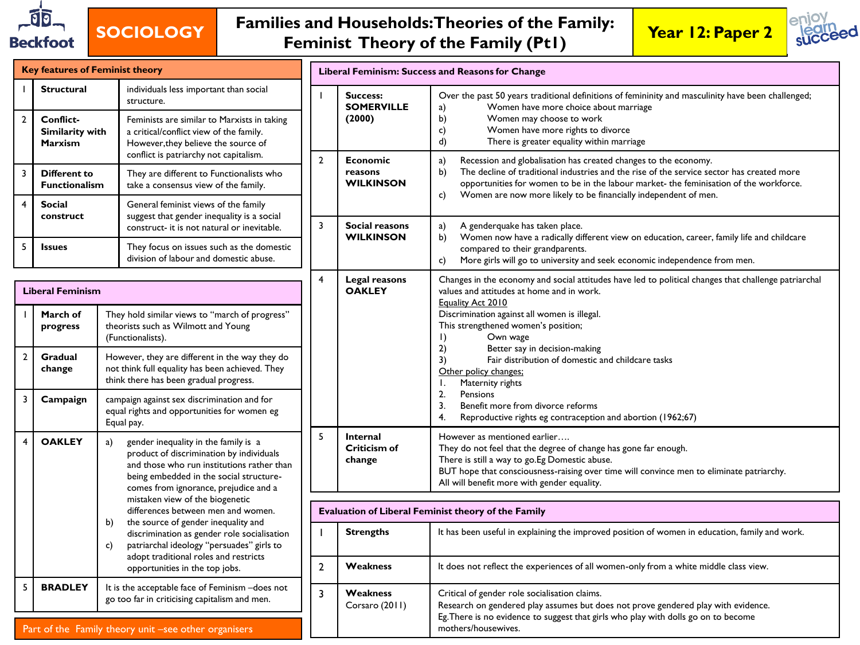

## **SOCIOLOGY Families and Households: Theories of the Family: Feminist Theory of the Family (Pt1) Year 12: Paper 2**



|                                                                                                                                                                                  | <b>Key features of Feminist theory</b>                                    |                                                                                                                                                                                                                          |                            | Liberal Feminism: Success and Reasons for Change                                                                                                                                                                                                |                                                                                                                                                                                                                                                                                                                                                                                     |  |  |  |
|----------------------------------------------------------------------------------------------------------------------------------------------------------------------------------|---------------------------------------------------------------------------|--------------------------------------------------------------------------------------------------------------------------------------------------------------------------------------------------------------------------|----------------------------|-------------------------------------------------------------------------------------------------------------------------------------------------------------------------------------------------------------------------------------------------|-------------------------------------------------------------------------------------------------------------------------------------------------------------------------------------------------------------------------------------------------------------------------------------------------------------------------------------------------------------------------------------|--|--|--|
|                                                                                                                                                                                  | individuals less important than social<br><b>Structural</b><br>structure. |                                                                                                                                                                                                                          |                            | Success:<br><b>SOMERVILLE</b>                                                                                                                                                                                                                   | Over the past 50 years traditional definitions of femininity and masculinity have been challenged;<br>Women have more choice about marriage<br>a)                                                                                                                                                                                                                                   |  |  |  |
| $\overline{2}$                                                                                                                                                                   | Conflict-<br><b>Similarity with</b><br><b>Marxism</b>                     | Feminists are similar to Marxists in taking<br>a critical/conflict view of the family.<br>However, they believe the source of<br>conflict is patriarchy not capitalism.                                                  |                            | (2000)                                                                                                                                                                                                                                          | b)<br>Women may choose to work<br>Women have more rights to divorce<br>c)<br>d)<br>There is greater equality within marriage                                                                                                                                                                                                                                                        |  |  |  |
| 3                                                                                                                                                                                | <b>Different to</b><br><b>Functionalism</b>                               | They are different to Functionalists who<br>take a consensus view of the family.                                                                                                                                         | $\overline{2}$             | <b>Economic</b><br>reasons<br><b>WILKINSON</b>                                                                                                                                                                                                  | a)<br>Recession and globalisation has created changes to the economy.<br>b)<br>The decline of traditional industries and the rise of the service sector has created more<br>opportunities for women to be in the labour market- the feminisation of the workforce.<br>Women are now more likely to be financially independent of men.<br>c)<br>A genderquake has taken place.<br>a) |  |  |  |
| $\overline{4}$                                                                                                                                                                   | <b>Social</b><br>construct                                                | General feminist views of the family<br>suggest that gender inequality is a social<br>construct- it is not natural or inevitable.                                                                                        | 3                          | <b>Social reasons</b>                                                                                                                                                                                                                           |                                                                                                                                                                                                                                                                                                                                                                                     |  |  |  |
| 5                                                                                                                                                                                | <b>Issues</b>                                                             | They focus on issues such as the domestic<br>division of labour and domestic abuse.                                                                                                                                      |                            | <b>WILKINSON</b>                                                                                                                                                                                                                                | Women now have a radically different view on education, career, family life and childcare<br>b)<br>compared to their grandparents.<br>More girls will go to university and seek economic independence from men.<br>c)                                                                                                                                                               |  |  |  |
|                                                                                                                                                                                  | <b>Liberal Feminism</b>                                                   |                                                                                                                                                                                                                          | $\overline{4}$             | Legal reasons<br><b>OAKLEY</b>                                                                                                                                                                                                                  | Changes in the economy and social attitudes have led to political changes that challenge patriarchal<br>values and attitudes at home and in work.<br>Equality Act 2010                                                                                                                                                                                                              |  |  |  |
|                                                                                                                                                                                  | March of<br>progress                                                      | They hold similar views to "march of progress"<br>theorists such as Wilmott and Young<br>(Functionalists).                                                                                                               |                            |                                                                                                                                                                                                                                                 | Discrimination against all women is illegal.<br>This strengthened women's position;<br>$\vert$ )<br>Own wage<br>2)<br>Better say in decision-making<br>3)<br>Fair distribution of domestic and childcare tasks<br>Other policy changes:<br>Maternity rights                                                                                                                         |  |  |  |
| $\overline{2}$                                                                                                                                                                   | Gradual<br>change                                                         | However, they are different in the way they do<br>not think full equality has been achieved. They<br>think there has been gradual progress.                                                                              |                            |                                                                                                                                                                                                                                                 |                                                                                                                                                                                                                                                                                                                                                                                     |  |  |  |
| 3                                                                                                                                                                                | Campaign                                                                  | campaign against sex discrimination and for<br>equal rights and opportunities for women eg<br>Equal pay.                                                                                                                 |                            |                                                                                                                                                                                                                                                 | 2.<br>Pensions<br>3.<br>Benefit more from divorce reforms<br>4.<br>Reproductive rights eg contraception and abortion (1962;67)                                                                                                                                                                                                                                                      |  |  |  |
| $\overline{4}$                                                                                                                                                                   | <b>OAKLEY</b>                                                             | gender inequality in the family is a<br>a)<br>product of discrimination by individuals<br>and those who run institutions rather than<br>being embedded in the social structure-<br>comes from ignorance, prejudice and a | 5                          |                                                                                                                                                                                                                                                 | However as mentioned earlier<br>They do not feel that the degree of change has gone far enough.<br>There is still a way to go.Eg Domestic abuse.<br>BUT hope that consciousness-raising over time will convince men to eliminate patriarchy.<br>All will benefit more with gender equality.                                                                                         |  |  |  |
|                                                                                                                                                                                  | mistaken view of the biogenetic<br>differences between men and women.     |                                                                                                                                                                                                                          |                            |                                                                                                                                                                                                                                                 | Evaluation of Liberal Feminist theory of the Family                                                                                                                                                                                                                                                                                                                                 |  |  |  |
|                                                                                                                                                                                  |                                                                           | the source of gender inequality and<br>b)<br>discrimination as gender role socialisation<br>patriarchal ideology "persuades" girls to<br>c)                                                                              |                            | <b>Strengths</b>                                                                                                                                                                                                                                | It has been useful in explaining the improved position of women in education, family and work.                                                                                                                                                                                                                                                                                      |  |  |  |
|                                                                                                                                                                                  |                                                                           | adopt traditional roles and restricts<br>opportunities in the top jobs.                                                                                                                                                  | $\overline{2}$             | Weakness                                                                                                                                                                                                                                        | It does not reflect the experiences of all women-only from a white middle class view.                                                                                                                                                                                                                                                                                               |  |  |  |
| 5<br><b>BRADLEY</b><br>It is the acceptable face of Feminism - does not<br>go too far in criticising capitalism and men.<br>Part of the Family theory unit –see other organisers |                                                                           | 3                                                                                                                                                                                                                        | Weakness<br>Corsaro (2011) | Critical of gender role socialisation claims.<br>Research on gendered play assumes but does not prove gendered play with evidence.<br>Eg. There is no evidence to suggest that girls who play with dolls go on to become<br>mothers/housewives. |                                                                                                                                                                                                                                                                                                                                                                                     |  |  |  |

Part of the Family theory unit -see other organisers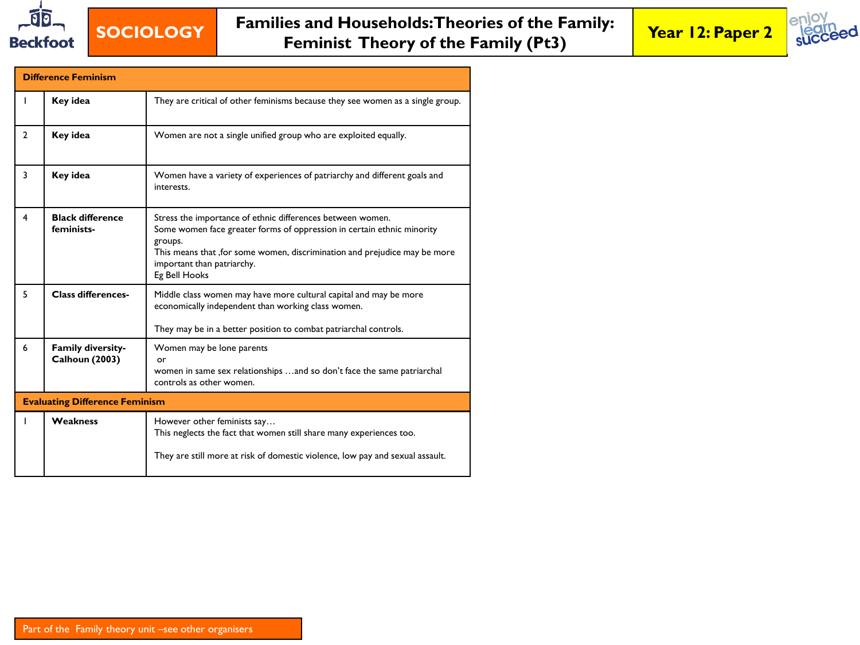

## **SOCIOLOGY Families and Households: Theories of the Family: Feminist Theory of the Family (Pt3) Year 12: Paper 2**



|                                       | <b>Difference Feminism</b>                 |                                                                                                                                                                                                                                                                              |  |  |  |  |  |
|---------------------------------------|--------------------------------------------|------------------------------------------------------------------------------------------------------------------------------------------------------------------------------------------------------------------------------------------------------------------------------|--|--|--|--|--|
|                                       | Key idea                                   | They are critical of other feminisms because they see women as a single group.                                                                                                                                                                                               |  |  |  |  |  |
| $\overline{2}$                        | Key idea                                   | Women are not a single unified group who are exploited equally.                                                                                                                                                                                                              |  |  |  |  |  |
| $\overline{\mathbf{3}}$               | Key idea                                   | Women have a variety of experiences of patriarchy and different goals and<br>interests.                                                                                                                                                                                      |  |  |  |  |  |
| $\overline{\mathbf{4}}$               | <b>Black difference</b><br>feminists-      | Stress the importance of ethnic differences between women.<br>Some women face greater forms of oppression in certain ethnic minority<br>groups.<br>This means that , for some women, discrimination and prejudice may be more<br>important than patriarchy.<br>Eg Bell Hooks |  |  |  |  |  |
| 5                                     | <b>Class differences-</b>                  | Middle class women may have more cultural capital and may be more<br>economically independent than working class women.<br>They may be in a better position to combat patriarchal controls.                                                                                  |  |  |  |  |  |
| 6                                     | Family diversity-<br><b>Calhoun (2003)</b> | Women may be lone parents<br>or<br>women in same sex relationships and so don't face the same patriarchal<br>controls as other women.                                                                                                                                        |  |  |  |  |  |
| <b>Evaluating Difference Feminism</b> |                                            |                                                                                                                                                                                                                                                                              |  |  |  |  |  |
|                                       | Weakness                                   | However other feminists say<br>This neglects the fact that women still share many experiences too.<br>They are still more at risk of domestic violence, low pay and sexual assault.                                                                                          |  |  |  |  |  |